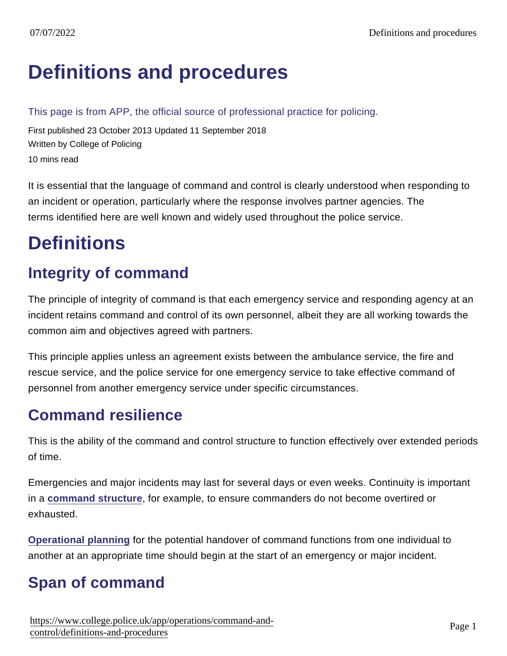# [Definitions and procedures](https://www.college.police.uk/app/operations/command-and-control/definitions-and-procedures)

This page is from APP, the official source of professional practice for policing.

First published 23 October 2013 Updated 11 September 2018 Written by College of Policing 10 mins read

It is essential that the language of command and control is clearly understood when responding to an incident or operation, particularly where the response involves partner agencies. The terms identified here are well known and widely used throughout the police service.

# **Definitions**

## Integrity of command

The principle of integrity of command is that each emergency service and responding agency at an incident retains command and control of its own personnel, albeit they are all working towards the common aim and objectives agreed with partners.

This principle applies unless an agreement exists between the ambulance service, the fire and rescue service, and the police service for one emergency service to take effective command of personnel from another emergency service under specific circumstances.

#### Command resilience

This is the ability of the command and control structure to function effectively over extended periods of time.

Emergencies and major incidents may last for several days or even weeks. Continuity is important in a [command structure](https://www.app.college.police.uk/app-content/operations/command-and-control/command-structures/#command-structure) , for example, to ensure commanders do not become overtired or exhausted.

[Operational planning](https://www.app.college.police.uk/app-content/operations/operational-planning/) for the potential handover of command functions from one individual to another at an appropriate time should begin at the start of an emergency or major incident.

## Span of command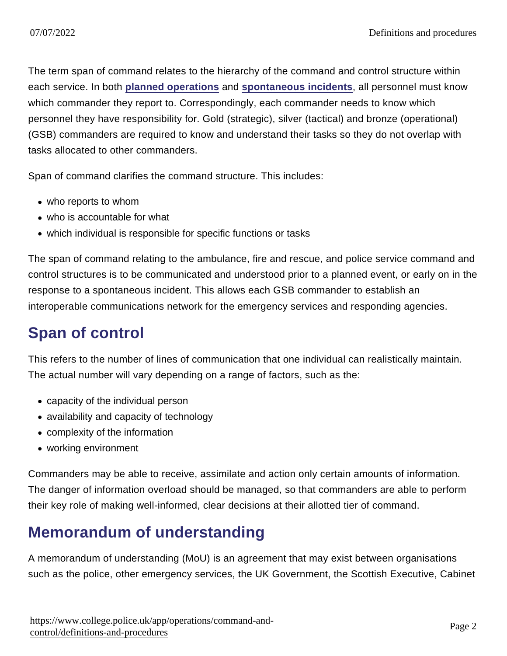The term span of command relates to the hierarchy of the command and control structure within each service. In both [planned operations](https://www.app.college.police.uk/app-content/operations/command-and-control/definitions-and-procedures/#planned-operations) and [spontaneous incidents](https://www.app.college.police.uk/app-content/operations/command-and-control/definitions-and-procedures/#spontaneous-incidents) , all personnel must know which commander they report to. Correspondingly, each commander needs to know which personnel they have responsibility for. Gold (strategic), silver (tactical) and bronze (operational) (GSB) commanders are required to know and understand their tasks so they do not overlap with tasks allocated to other commanders.

Span of command clarifies the command structure. This includes:

- who reports to whom
- who is accountable for what
- which individual is responsible for specific functions or tasks

The span of command relating to the ambulance, fire and rescue, and police service command and control structures is to be communicated and understood prior to a planned event, or early on in the response to a spontaneous incident. This allows each GSB commander to establish an interoperable communications network for the emergency services and responding agencies.

## Span of control

This refers to the number of lines of communication that one individual can realistically maintain. The actual number will vary depending on a range of factors, such as the:

- capacity of the individual person
- availability and capacity of technology
- complexity of the information
- working environment

Commanders may be able to receive, assimilate and action only certain amounts of information. The danger of information overload should be managed, so that commanders are able to perform their key role of making well-informed, clear decisions at their allotted tier of command.

## Memorandum of understanding

A memorandum of understanding (MoU) is an agreement that may exist between organisations such as the police, other emergency services, the UK Government, the Scottish Executive, Cabinet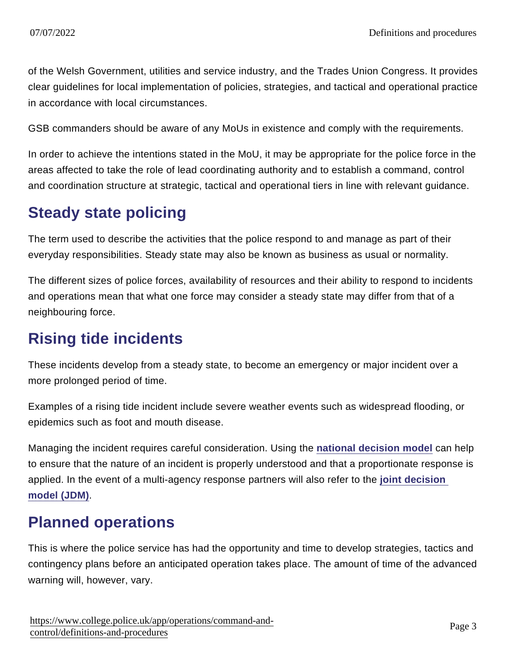of the Welsh Government, utilities and service industry, and the Trades Union Congress. It provides clear guidelines for local implementation of policies, strategies, and tactical and operational practice in accordance with local circumstances.

GSB commanders should be aware of any MoUs in existence and comply with the requirements.

In order to achieve the intentions stated in the MoU, it may be appropriate for the police force in the areas affected to take the role of lead coordinating authority and to establish a command, control and coordination structure at strategic, tactical and operational tiers in line with relevant guidance.

#### Steady state policing

The term used to describe the activities that the police respond to and manage as part of their everyday responsibilities. Steady state may also be known as business as usual or normality.

The different sizes of police forces, availability of resources and their ability to respond to incidents and operations mean that what one force may consider a steady state may differ from that of a neighbouring force.

#### Rising tide incidents

These incidents develop from a steady state, to become an emergency or major incident over a more prolonged period of time.

Examples of a rising tide incident include severe weather events such as widespread flooding, or epidemics such as foot and mouth disease.

Managing the incident requires careful consideration. Using the [national decision model](https://www.app.college.police.uk/app-content/the-national-decision-model/?s=) can help to ensure that the nature of an incident is properly understood and that a proportionate response is applied. In the event of a multi-agency response partners will also refer to the [joint decision](https://jesip.org.uk/joint-decision-model)  [model \(JDM\)](https://jesip.org.uk/joint-decision-model) .

#### Planned operations

This is where the police service has had the opportunity and time to develop strategies, tactics and contingency plans before an anticipated operation takes place. The amount of time of the advanced warning will, however, vary.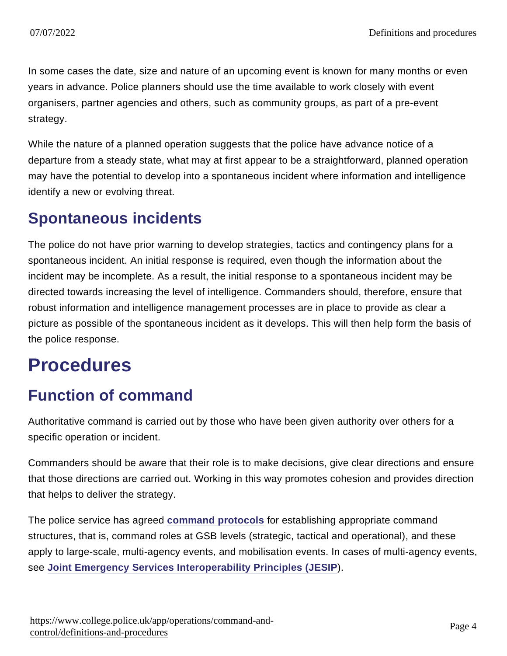In some cases the date, size and nature of an upcoming event is known for many months or even years in advance. Police planners should use the time available to work closely with event organisers, partner agencies and others, such as community groups, as part of a pre-event strategy.

While the nature of a planned operation suggests that the police have advance notice of a departure from a steady state, what may at first appear to be a straightforward, planned operation may have the potential to develop into a spontaneous incident where information and intelligence identify a new or evolving threat.

#### Spontaneous incidents

The police do not have prior warning to develop strategies, tactics and contingency plans for a spontaneous incident. An initial response is required, even though the information about the incident may be incomplete. As a result, the initial response to a spontaneous incident may be directed towards increasing the level of intelligence. Commanders should, therefore, ensure that robust information and intelligence management processes are in place to provide as clear a picture as possible of the spontaneous incident as it develops. This will then help form the basis of the police response.

## **Procedures**

#### Function of command

Authoritative command is carried out by those who have been given authority over others for a specific operation or incident.

Commanders should be aware that their role is to make decisions, give clear directions and ensure that those directions are carried out. Working in this way promotes cohesion and provides direction that helps to deliver the strategy.

The police service has agreed [command protocols](https://www.app.college.police.uk/app-content/operations/command-and-control/definitions-and-procedures/#command-protocols) for establishing appropriate command structures, that is, command roles at GSB levels (strategic, tactical and operational), and these apply to large-scale, multi-agency events, and mobilisation events. In cases of multi-agency events, see [Joint Emergency Services Interoperability Principles \(JESIP](https://jesip.org.uk/home) ).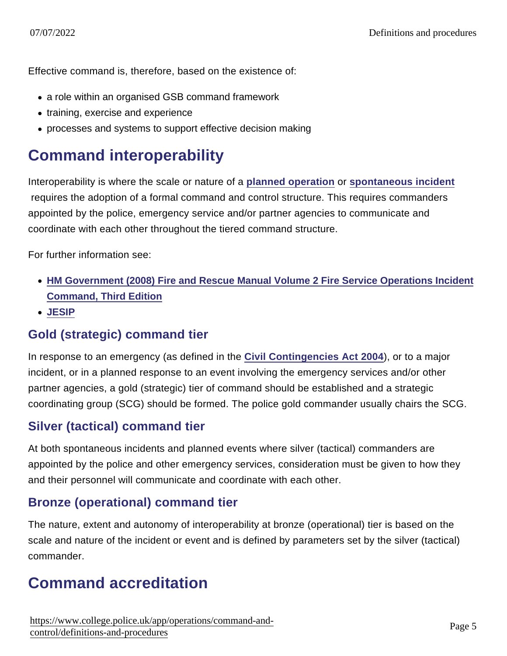Effective command is, therefore, based on the existence of:

- a role within an organised GSB command framework
- training, exercise and experience
- processes and systems to support effective decision making

#### Command interoperability

Interoperability is where the scale or nature of a [planned operation](https://www.app.college.police.uk/app-content/operations/command-and-control/definitions-and-procedures/#planned-operations) or [spontaneous incident](https://www.app.college.police.uk/app-content/operations/command-and-control/definitions-and-procedures/#spontaneous-incidents) requires the adoption of a formal command and control structure. This requires commanders appointed by the police, emergency service and/or partner agencies to communicate and coordinate with each other throughout the tiered command structure.

For further information see:

- [HM Government \(2008\) Fire and Rescue Manual Volume 2 Fire Service Operations Incident](https://www.gov.uk/government/uploads/system/uploads/attachment_data/file/7643/incidentcommand.pdf) [Command, Third Edition](https://www.gov.uk/government/uploads/system/uploads/attachment_data/file/7643/incidentcommand.pdf)
- [JESIP](https://jesip.org.uk/home)

#### Gold (strategic) command tier

In response to an emergency (as defined in the [Civil Contingencies Act 2004](http://www.legislation.gov.uk/ukpga/2004/36/contents) ), or to a major incident, or in a planned response to an event involving the emergency services and/or other partner agencies, a gold (strategic) tier of command should be established and a strategic coordinating group (SCG) should be formed. The police gold commander usually chairs the SCG.

#### Silver (tactical) command tier

At both spontaneous incidents and planned events where silver (tactical) commanders are appointed by the police and other emergency services, consideration must be given to how they and their personnel will communicate and coordinate with each other.

#### Bronze (operational) command tier

The nature, extent and autonomy of interoperability at bronze (operational) tier is based on the scale and nature of the incident or event and is defined by parameters set by the silver (tactical) commander.

#### Command accreditation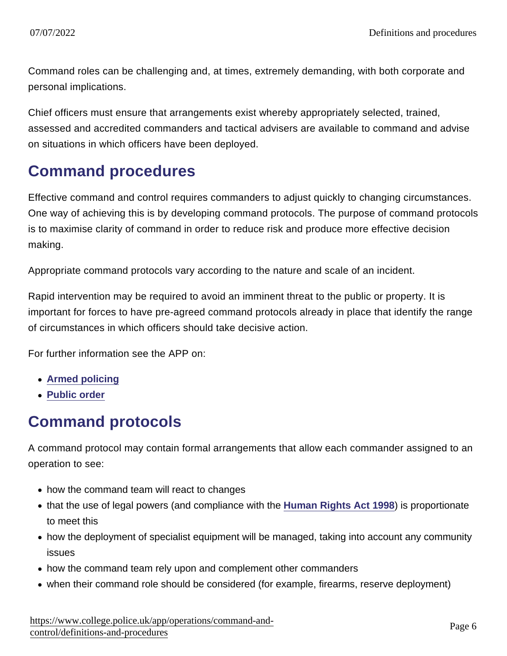Command roles can be challenging and, at times, extremely demanding, with both corporate and personal implications.

Chief officers must ensure that arrangements exist whereby appropriately selected, trained, assessed and accredited commanders and tactical advisers are available to command and advise on situations in which officers have been deployed.

#### Command procedures

Effective command and control requires commanders to adjust quickly to changing circumstances. One way of achieving this is by developing command protocols. The purpose of command protocols is to maximise clarity of command in order to reduce risk and produce more effective decision making.

Appropriate command protocols vary according to the nature and scale of an incident.

Rapid intervention may be required to avoid an imminent threat to the public or property. It is important for forces to have pre-agreed command protocols already in place that identify the range of circumstances in which officers should take decisive action.

For further information see the APP on:

- [Armed policing](https://www.app.college.police.uk/armed-policing/?s=)
- [Public order](https://www.app.college.police.uk/public-order/?s=)

#### Command protocols

A command protocol may contain formal arrangements that allow each commander assigned to an operation to see:

- how the command team will react to changes
- that the use of legal powers (and compliance with the [Human Rights Act 1998](http://www.legislation.gov.uk/ukpga/1998/42/contents)) is proportionate to meet this
- how the deployment of specialist equipment will be managed, taking into account any community issues
- how the command team rely upon and complement other commanders
- when their command role should be considered (for example, firearms, reserve deployment)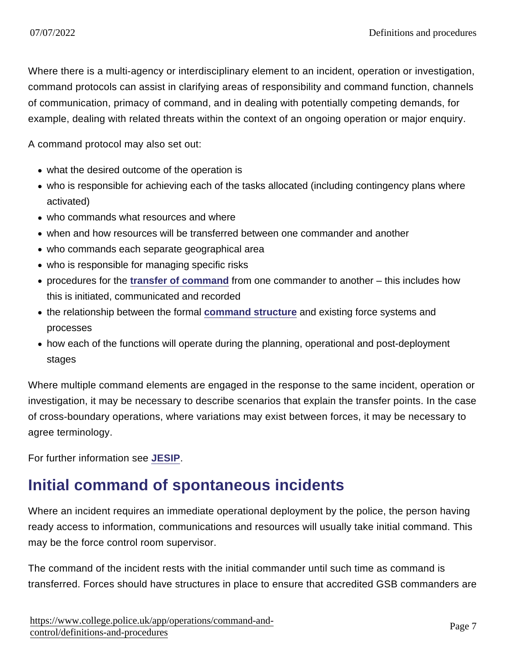Where there is a multi-agency or interdisciplinary element to an incident, operation or investigation, command protocols can assist in clarifying areas of responsibility and command function, channels of communication, primacy of command, and in dealing with potentially competing demands, for example, dealing with related threats within the context of an ongoing operation or major enquiry.

A command protocol may also set out:

- what the desired outcome of the operation is
- who is responsible for achieving each of the tasks allocated (including contingency plans where activated)
- who commands what resources and where
- when and how resources will be transferred between one commander and another
- who commands each separate geographical area
- who is responsible for managing specific risks
- procedures for the [transfer of command](https://www.app.college.police.uk/app-content/operations/command-and-control/definitions-and-procedures/#transfer-of-command) from one commander to another this includes how this is initiated, communicated and recorded
- the relationship between the formal [command structure](https://www.app.college.police.uk/app-content/operations/command-and-control/command-structures/#command-structure) and existing force systems and processes
- how each of the functions will operate during the planning, operational and post-deployment stages

Where multiple command elements are engaged in the response to the same incident, operation or investigation, it may be necessary to describe scenarios that explain the transfer points. In the case of cross-boundary operations, where variations may exist between forces, it may be necessary to agree terminology.

For further information see [JESIP.](https://jesip.org.uk/home)

#### Initial command of spontaneous incidents

Where an incident requires an immediate operational deployment by the police, the person having ready access to information, communications and resources will usually take initial command. This may be the force control room supervisor.

The command of the incident rests with the initial commander until such time as command is transferred. Forces should have structures in place to ensure that accredited GSB commanders are